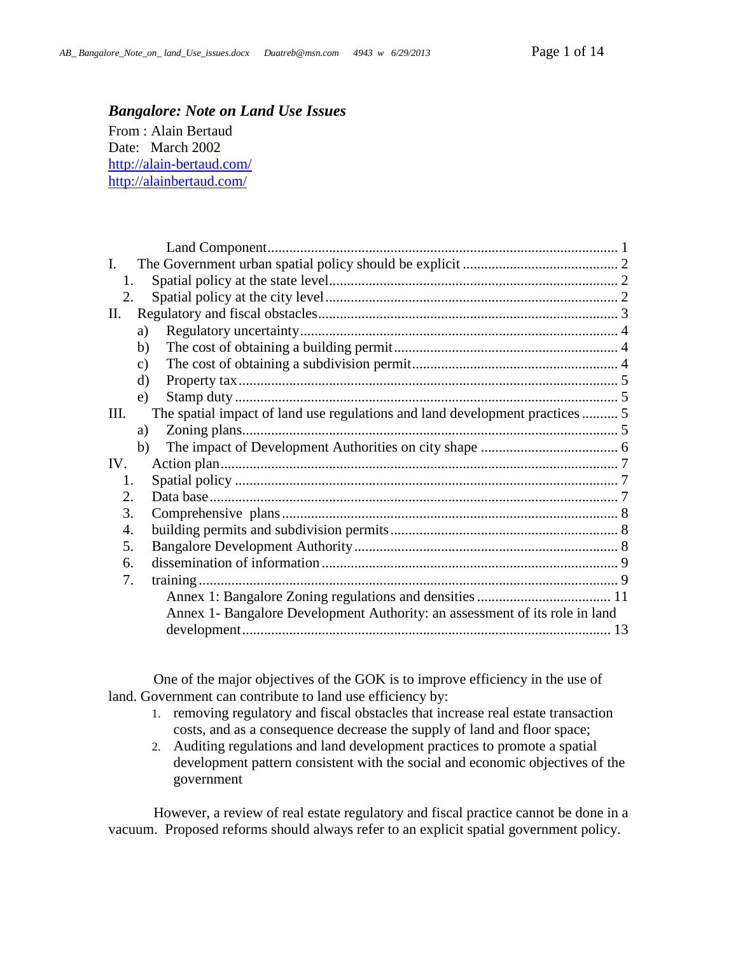# <span id="page-0-0"></span>*Bangalore: Note on Land Use Issues*

From : Alain Bertaud Date: March 2002 <http://alain-bertaud.com/> <http://alainbertaud.com/>

| $\mathbf{I}$ . |                                                                             |  |
|----------------|-----------------------------------------------------------------------------|--|
| 1.             |                                                                             |  |
| 2.             |                                                                             |  |
| П.             |                                                                             |  |
|                | a)                                                                          |  |
|                | b)                                                                          |  |
|                | $\mathbf{c})$                                                               |  |
|                | $\mathbf{d}$                                                                |  |
|                | e)                                                                          |  |
| Ш.             | The spatial impact of land use regulations and land development practices5  |  |
|                | Zoning plans<br>a)                                                          |  |
|                | b)                                                                          |  |
| IV.            |                                                                             |  |
| 1.             |                                                                             |  |
| 2.             |                                                                             |  |
| 3.             |                                                                             |  |
| 4.             |                                                                             |  |
| 5.             |                                                                             |  |
| 6.             |                                                                             |  |
| 7.             |                                                                             |  |
|                |                                                                             |  |
|                | Annex 1- Bangalore Development Authority: an assessment of its role in land |  |
|                |                                                                             |  |

One of the major objectives of the GOK is to improve efficiency in the use of land. Government can contribute to land use efficiency by:

- 1. removing regulatory and fiscal obstacles that increase real estate transaction costs, and as a consequence decrease the supply of land and floor space;
- 2. Auditing regulations and land development practices to promote a spatial development pattern consistent with the social and economic objectives of the government

However, a review of real estate regulatory and fiscal practice cannot be done in a vacuum. Proposed reforms should always refer to an explicit spatial government policy.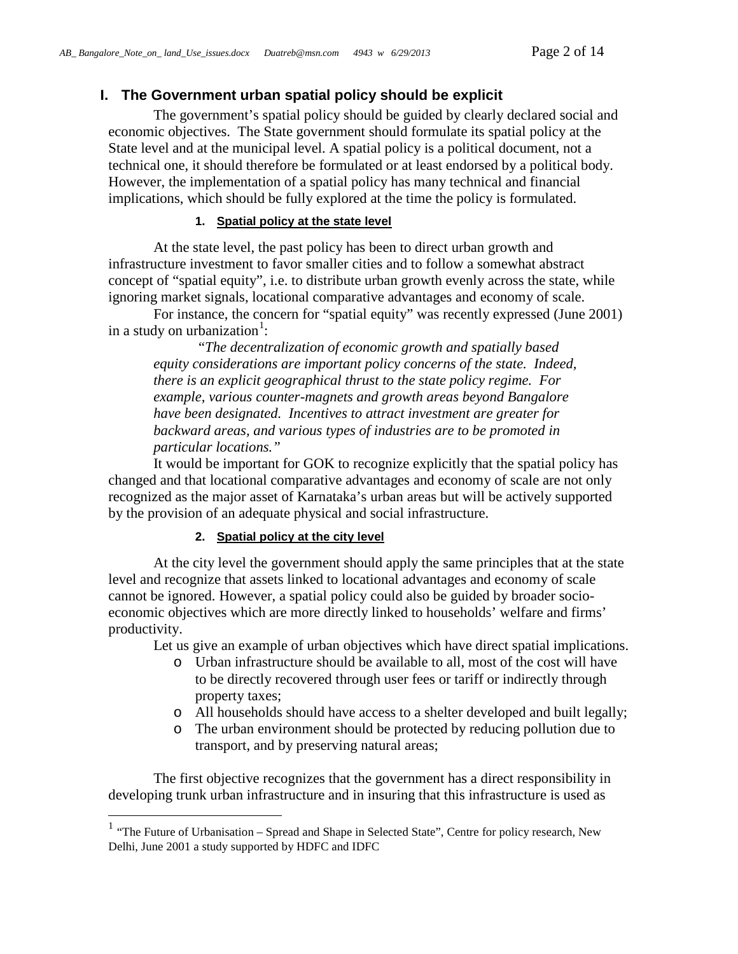## <span id="page-1-0"></span>**I. The Government urban spatial policy should be explicit**

The government's spatial policy should be guided by clearly declared social and economic objectives. The State government should formulate its spatial policy at the State level and at the municipal level. A spatial policy is a political document, not a technical one, it should therefore be formulated or at least endorsed by a political body. However, the implementation of a spatial policy has many technical and financial implications, which should be fully explored at the time the policy is formulated.

### **1. Spatial policy at the state level**

<span id="page-1-1"></span>At the state level, the past policy has been to direct urban growth and infrastructure investment to favor smaller cities and to follow a somewhat abstract concept of "spatial equity", i.e. to distribute urban growth evenly across the state, while ignoring market signals, locational comparative advantages and economy of scale.

For instance, the concern for "spatial equity" was recently expressed (June 2001) in a study on urbanization<sup>[1](#page-1-3)</sup>:

"*The decentralization of economic growth and spatially based equity considerations are important policy concerns of the state. Indeed, there is an explicit geographical thrust to the state policy regime. For example, various counter-magnets and growth areas beyond Bangalore have been designated. Incentives to attract investment are greater for backward areas, and various types of industries are to be promoted in particular locations."*

It would be important for GOK to recognize explicitly that the spatial policy has changed and that locational comparative advantages and economy of scale are not only recognized as the major asset of Karnataka's urban areas but will be actively supported by the provision of an adequate physical and social infrastructure.

### **2. Spatial policy at the city level**

<span id="page-1-2"></span>At the city level the government should apply the same principles that at the state level and recognize that assets linked to locational advantages and economy of scale cannot be ignored. However, a spatial policy could also be guided by broader socioeconomic objectives which are more directly linked to households' welfare and firms' productivity.

Let us give an example of urban objectives which have direct spatial implications.

- o Urban infrastructure should be available to all, most of the cost will have to be directly recovered through user fees or tariff or indirectly through property taxes;
- o All households should have access to a shelter developed and built legally;
- o The urban environment should be protected by reducing pollution due to transport, and by preserving natural areas;

The first objective recognizes that the government has a direct responsibility in developing trunk urban infrastructure and in insuring that this infrastructure is used as

<span id="page-1-3"></span><sup>&</sup>lt;sup>1</sup> "The Future of Urbanisation – Spread and Shape in Selected State", Centre for policy research, New Delhi, June 2001 a study supported by HDFC and IDFC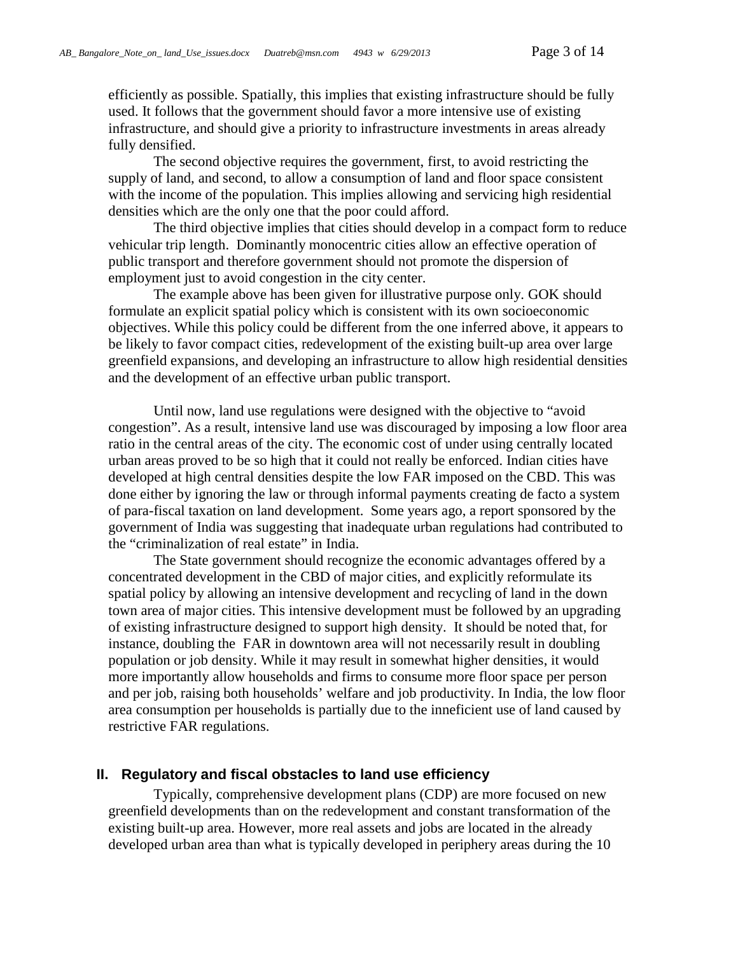efficiently as possible. Spatially, this implies that existing infrastructure should be fully used. It follows that the government should favor a more intensive use of existing infrastructure, and should give a priority to infrastructure investments in areas already fully densified.

The second objective requires the government, first, to avoid restricting the supply of land, and second, to allow a consumption of land and floor space consistent with the income of the population. This implies allowing and servicing high residential densities which are the only one that the poor could afford.

The third objective implies that cities should develop in a compact form to reduce vehicular trip length. Dominantly monocentric cities allow an effective operation of public transport and therefore government should not promote the dispersion of employment just to avoid congestion in the city center.

The example above has been given for illustrative purpose only. GOK should formulate an explicit spatial policy which is consistent with its own socioeconomic objectives. While this policy could be different from the one inferred above, it appears to be likely to favor compact cities, redevelopment of the existing built-up area over large greenfield expansions, and developing an infrastructure to allow high residential densities and the development of an effective urban public transport.

Until now, land use regulations were designed with the objective to "avoid congestion". As a result, intensive land use was discouraged by imposing a low floor area ratio in the central areas of the city. The economic cost of under using centrally located urban areas proved to be so high that it could not really be enforced. Indian cities have developed at high central densities despite the low FAR imposed on the CBD. This was done either by ignoring the law or through informal payments creating de facto a system of para-fiscal taxation on land development. Some years ago, a report sponsored by the government of India was suggesting that inadequate urban regulations had contributed to the "criminalization of real estate" in India.

The State government should recognize the economic advantages offered by a concentrated development in the CBD of major cities, and explicitly reformulate its spatial policy by allowing an intensive development and recycling of land in the down town area of major cities. This intensive development must be followed by an upgrading of existing infrastructure designed to support high density. It should be noted that, for instance, doubling the FAR in downtown area will not necessarily result in doubling population or job density. While it may result in somewhat higher densities, it would more importantly allow households and firms to consume more floor space per person and per job, raising both households' welfare and job productivity. In India, the low floor area consumption per households is partially due to the inneficient use of land caused by restrictive FAR regulations.

### <span id="page-2-0"></span>**II. Regulatory and fiscal obstacles to land use efficiency**

Typically, comprehensive development plans (CDP) are more focused on new greenfield developments than on the redevelopment and constant transformation of the existing built-up area. However, more real assets and jobs are located in the already developed urban area than what is typically developed in periphery areas during the 10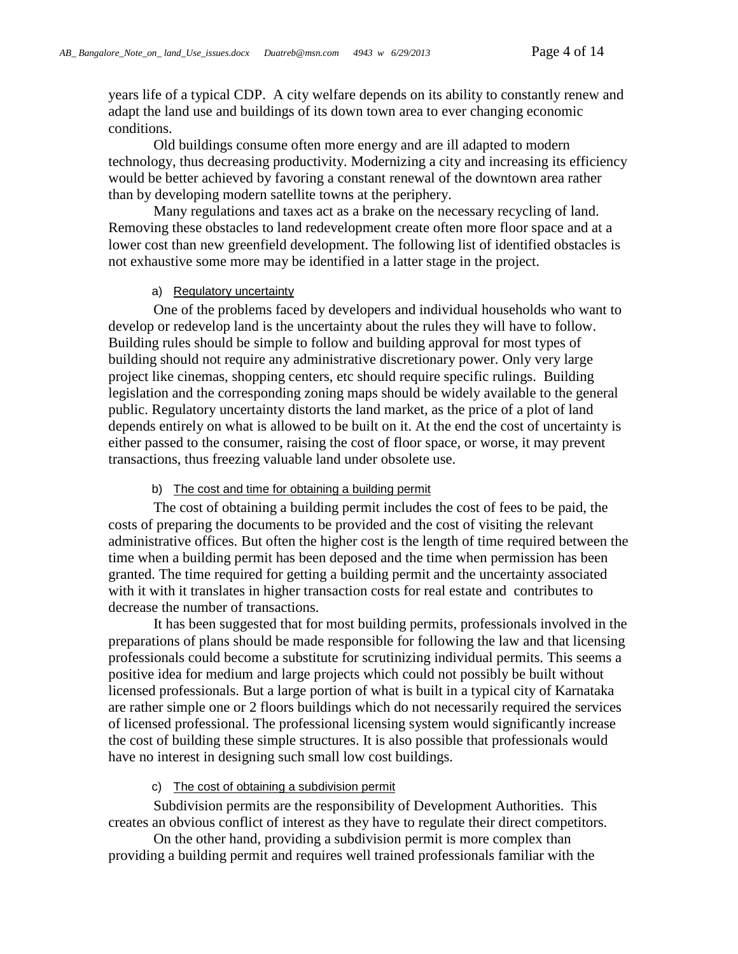years life of a typical CDP. A city welfare depends on its ability to constantly renew and adapt the land use and buildings of its down town area to ever changing economic conditions.

Old buildings consume often more energy and are ill adapted to modern technology, thus decreasing productivity. Modernizing a city and increasing its efficiency would be better achieved by favoring a constant renewal of the downtown area rather than by developing modern satellite towns at the periphery.

Many regulations and taxes act as a brake on the necessary recycling of land. Removing these obstacles to land redevelopment create often more floor space and at a lower cost than new greenfield development. The following list of identified obstacles is not exhaustive some more may be identified in a latter stage in the project.

### a) Regulatory uncertainty

<span id="page-3-0"></span>One of the problems faced by developers and individual households who want to develop or redevelop land is the uncertainty about the rules they will have to follow. Building rules should be simple to follow and building approval for most types of building should not require any administrative discretionary power. Only very large project like cinemas, shopping centers, etc should require specific rulings. Building legislation and the corresponding zoning maps should be widely available to the general public. Regulatory uncertainty distorts the land market, as the price of a plot of land depends entirely on what is allowed to be built on it. At the end the cost of uncertainty is either passed to the consumer, raising the cost of floor space, or worse, it may prevent transactions, thus freezing valuable land under obsolete use.

#### b) The cost and time for obtaining a building permit

<span id="page-3-1"></span>The cost of obtaining a building permit includes the cost of fees to be paid, the costs of preparing the documents to be provided and the cost of visiting the relevant administrative offices. But often the higher cost is the length of time required between the time when a building permit has been deposed and the time when permission has been granted. The time required for getting a building permit and the uncertainty associated with it with it translates in higher transaction costs for real estate and contributes to decrease the number of transactions.

It has been suggested that for most building permits, professionals involved in the preparations of plans should be made responsible for following the law and that licensing professionals could become a substitute for scrutinizing individual permits. This seems a positive idea for medium and large projects which could not possibly be built without licensed professionals. But a large portion of what is built in a typical city of Karnataka are rather simple one or 2 floors buildings which do not necessarily required the services of licensed professional. The professional licensing system would significantly increase the cost of building these simple structures. It is also possible that professionals would have no interest in designing such small low cost buildings.

c) The cost of obtaining a subdivision permit

<span id="page-3-2"></span>Subdivision permits are the responsibility of Development Authorities. This creates an obvious conflict of interest as they have to regulate their direct competitors.

On the other hand, providing a subdivision permit is more complex than providing a building permit and requires well trained professionals familiar with the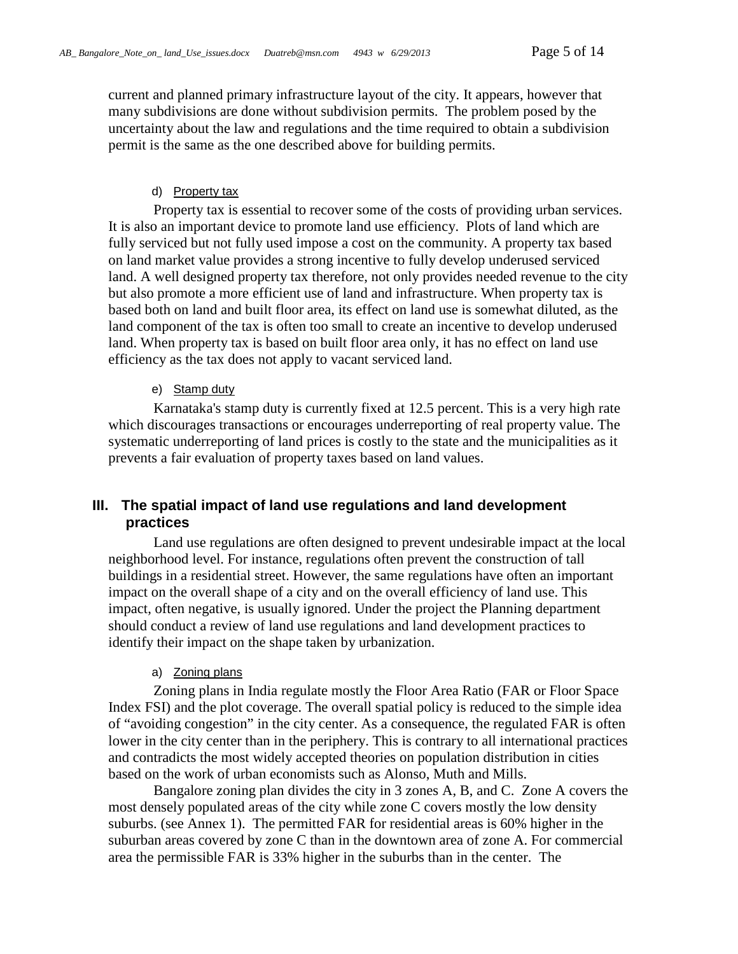current and planned primary infrastructure layout of the city. It appears, however that many subdivisions are done without subdivision permits. The problem posed by the uncertainty about the law and regulations and the time required to obtain a subdivision permit is the same as the one described above for building permits.

#### d) Property tax

<span id="page-4-0"></span>Property tax is essential to recover some of the costs of providing urban services. It is also an important device to promote land use efficiency. Plots of land which are fully serviced but not fully used impose a cost on the community. A property tax based on land market value provides a strong incentive to fully develop underused serviced land. A well designed property tax therefore, not only provides needed revenue to the city but also promote a more efficient use of land and infrastructure. When property tax is based both on land and built floor area, its effect on land use is somewhat diluted, as the land component of the tax is often too small to create an incentive to develop underused land. When property tax is based on built floor area only, it has no effect on land use efficiency as the tax does not apply to vacant serviced land.

#### e) Stamp duty

<span id="page-4-1"></span>Karnataka's stamp duty is currently fixed at 12.5 percent. This is a very high rate which discourages transactions or encourages underreporting of real property value. The systematic underreporting of land prices is costly to the state and the municipalities as it prevents a fair evaluation of property taxes based on land values.

## <span id="page-4-2"></span>**III. The spatial impact of land use regulations and land development practices**

Land use regulations are often designed to prevent undesirable impact at the local neighborhood level. For instance, regulations often prevent the construction of tall buildings in a residential street. However, the same regulations have often an important impact on the overall shape of a city and on the overall efficiency of land use. This impact, often negative, is usually ignored. Under the project the Planning department should conduct a review of land use regulations and land development practices to identify their impact on the shape taken by urbanization.

### a) Zoning plans

<span id="page-4-3"></span>Zoning plans in India regulate mostly the Floor Area Ratio (FAR or Floor Space Index FSI) and the plot coverage. The overall spatial policy is reduced to the simple idea of "avoiding congestion" in the city center. As a consequence, the regulated FAR is often lower in the city center than in the periphery. This is contrary to all international practices and contradicts the most widely accepted theories on population distribution in cities based on the work of urban economists such as Alonso, Muth and Mills.

Bangalore zoning plan divides the city in 3 zones A, B, and C. Zone A covers the most densely populated areas of the city while zone C covers mostly the low density suburbs. (see Annex 1). The permitted FAR for residential areas is 60% higher in the suburban areas covered by zone C than in the downtown area of zone A. For commercial area the permissible FAR is 33% higher in the suburbs than in the center. The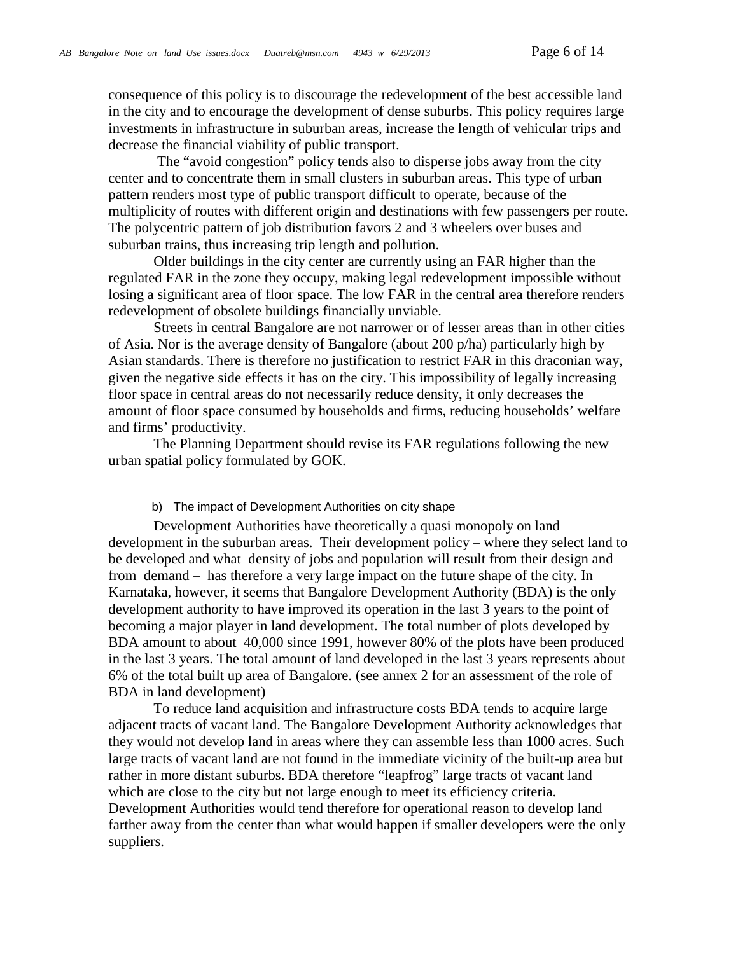consequence of this policy is to discourage the redevelopment of the best accessible land in the city and to encourage the development of dense suburbs. This policy requires large investments in infrastructure in suburban areas, increase the length of vehicular trips and decrease the financial viability of public transport.

The "avoid congestion" policy tends also to disperse jobs away from the city center and to concentrate them in small clusters in suburban areas. This type of urban pattern renders most type of public transport difficult to operate, because of the multiplicity of routes with different origin and destinations with few passengers per route. The polycentric pattern of job distribution favors 2 and 3 wheelers over buses and suburban trains, thus increasing trip length and pollution.

Older buildings in the city center are currently using an FAR higher than the regulated FAR in the zone they occupy, making legal redevelopment impossible without losing a significant area of floor space. The low FAR in the central area therefore renders redevelopment of obsolete buildings financially unviable.

Streets in central Bangalore are not narrower or of lesser areas than in other cities of Asia. Nor is the average density of Bangalore (about 200 p/ha) particularly high by Asian standards. There is therefore no justification to restrict FAR in this draconian way, given the negative side effects it has on the city. This impossibility of legally increasing floor space in central areas do not necessarily reduce density, it only decreases the amount of floor space consumed by households and firms, reducing households' welfare and firms' productivity.

The Planning Department should revise its FAR regulations following the new urban spatial policy formulated by GOK.

#### b) The impact of Development Authorities on city shape

<span id="page-5-0"></span>Development Authorities have theoretically a quasi monopoly on land development in the suburban areas. Their development policy – where they select land to be developed and what density of jobs and population will result from their design and from demand – has therefore a very large impact on the future shape of the city. In Karnataka, however, it seems that Bangalore Development Authority (BDA) is the only development authority to have improved its operation in the last 3 years to the point of becoming a major player in land development. The total number of plots developed by BDA amount to about 40,000 since 1991, however 80% of the plots have been produced in the last 3 years. The total amount of land developed in the last 3 years represents about 6% of the total built up area of Bangalore. (see annex 2 for an assessment of the role of BDA in land development)

To reduce land acquisition and infrastructure costs BDA tends to acquire large adjacent tracts of vacant land. The Bangalore Development Authority acknowledges that they would not develop land in areas where they can assemble less than 1000 acres. Such large tracts of vacant land are not found in the immediate vicinity of the built-up area but rather in more distant suburbs. BDA therefore "leapfrog" large tracts of vacant land which are close to the city but not large enough to meet its efficiency criteria. Development Authorities would tend therefore for operational reason to develop land farther away from the center than what would happen if smaller developers were the only suppliers.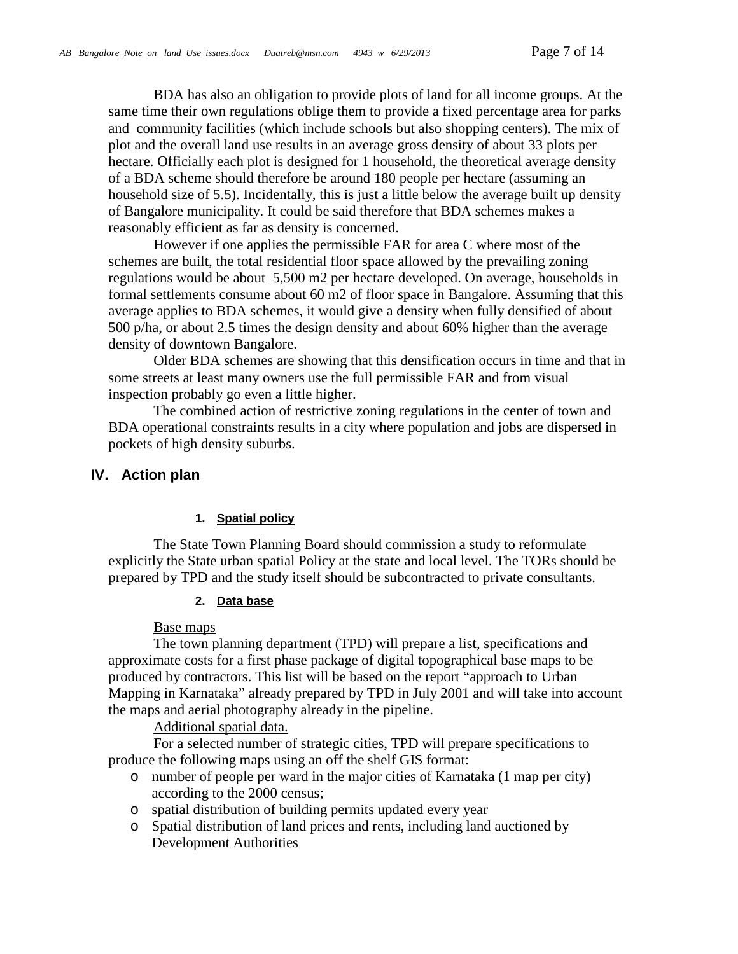BDA has also an obligation to provide plots of land for all income groups. At the same time their own regulations oblige them to provide a fixed percentage area for parks and community facilities (which include schools but also shopping centers). The mix of plot and the overall land use results in an average gross density of about 33 plots per hectare. Officially each plot is designed for 1 household, the theoretical average density of a BDA scheme should therefore be around 180 people per hectare (assuming an household size of 5.5). Incidentally, this is just a little below the average built up density of Bangalore municipality. It could be said therefore that BDA schemes makes a reasonably efficient as far as density is concerned.

However if one applies the permissible FAR for area C where most of the schemes are built, the total residential floor space allowed by the prevailing zoning regulations would be about 5,500 m2 per hectare developed. On average, households in formal settlements consume about 60 m2 of floor space in Bangalore. Assuming that this average applies to BDA schemes, it would give a density when fully densified of about 500 p/ha, or about 2.5 times the design density and about 60% higher than the average density of downtown Bangalore.

Older BDA schemes are showing that this densification occurs in time and that in some streets at least many owners use the full permissible FAR and from visual inspection probably go even a little higher.

The combined action of restrictive zoning regulations in the center of town and BDA operational constraints results in a city where population and jobs are dispersed in pockets of high density suburbs.

## <span id="page-6-0"></span>**IV. Action plan**

### **1. Spatial policy**

<span id="page-6-2"></span><span id="page-6-1"></span>The State Town Planning Board should commission a study to reformulate explicitly the State urban spatial Policy at the state and local level. The TORs should be prepared by TPD and the study itself should be subcontracted to private consultants.

### **2. Data base**

### Base maps

The town planning department (TPD) will prepare a list, specifications and approximate costs for a first phase package of digital topographical base maps to be produced by contractors. This list will be based on the report "approach to Urban Mapping in Karnataka" already prepared by TPD in July 2001 and will take into account the maps and aerial photography already in the pipeline.

Additional spatial data.

For a selected number of strategic cities, TPD will prepare specifications to produce the following maps using an off the shelf GIS format:

- o number of people per ward in the major cities of Karnataka (1 map per city) according to the 2000 census;
- o spatial distribution of building permits updated every year
- o Spatial distribution of land prices and rents, including land auctioned by Development Authorities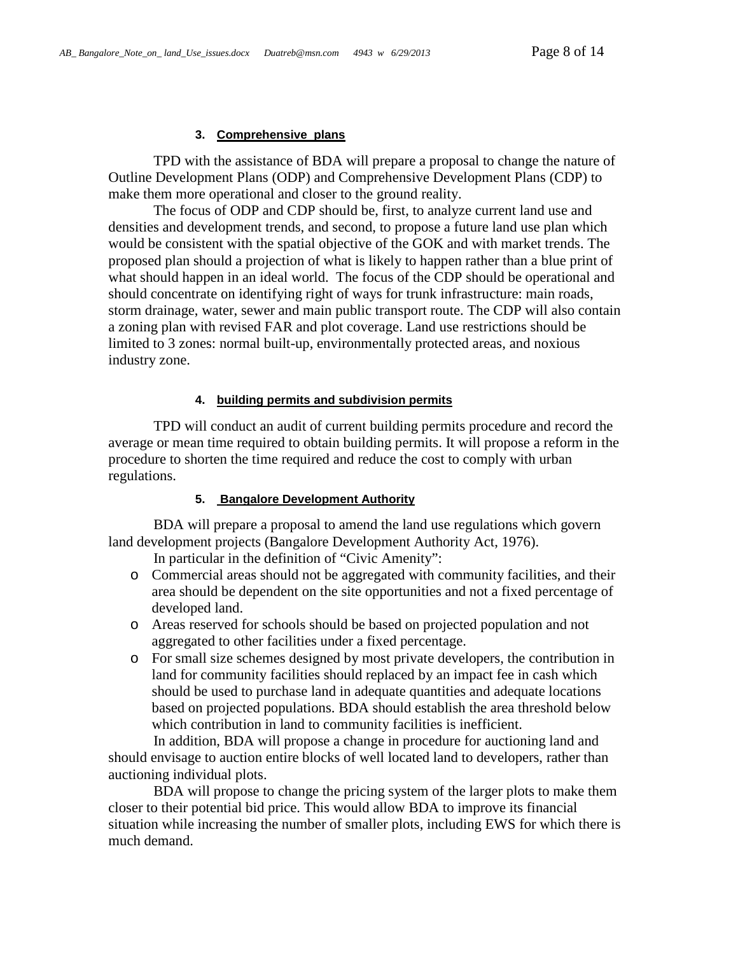#### **3. Comprehensive plans**

<span id="page-7-0"></span>TPD with the assistance of BDA will prepare a proposal to change the nature of Outline Development Plans (ODP) and Comprehensive Development Plans (CDP) to make them more operational and closer to the ground reality.

The focus of ODP and CDP should be, first, to analyze current land use and densities and development trends, and second, to propose a future land use plan which would be consistent with the spatial objective of the GOK and with market trends. The proposed plan should a projection of what is likely to happen rather than a blue print of what should happen in an ideal world. The focus of the CDP should be operational and should concentrate on identifying right of ways for trunk infrastructure: main roads, storm drainage, water, sewer and main public transport route. The CDP will also contain a zoning plan with revised FAR and plot coverage. Land use restrictions should be limited to 3 zones: normal built-up, environmentally protected areas, and noxious industry zone.

### **4. building permits and subdivision permits**

<span id="page-7-1"></span>TPD will conduct an audit of current building permits procedure and record the average or mean time required to obtain building permits. It will propose a reform in the procedure to shorten the time required and reduce the cost to comply with urban regulations.

#### <span id="page-7-2"></span>**5. Bangalore Development Authority**

BDA will prepare a proposal to amend the land use regulations which govern land development projects (Bangalore Development Authority Act, 1976).

In particular in the definition of "Civic Amenity":

- o Commercial areas should not be aggregated with community facilities, and their area should be dependent on the site opportunities and not a fixed percentage of developed land.
- o Areas reserved for schools should be based on projected population and not aggregated to other facilities under a fixed percentage.
- o For small size schemes designed by most private developers, the contribution in land for community facilities should replaced by an impact fee in cash which should be used to purchase land in adequate quantities and adequate locations based on projected populations. BDA should establish the area threshold below which contribution in land to community facilities is inefficient.

In addition, BDA will propose a change in procedure for auctioning land and should envisage to auction entire blocks of well located land to developers, rather than auctioning individual plots.

BDA will propose to change the pricing system of the larger plots to make them closer to their potential bid price. This would allow BDA to improve its financial situation while increasing the number of smaller plots, including EWS for which there is much demand.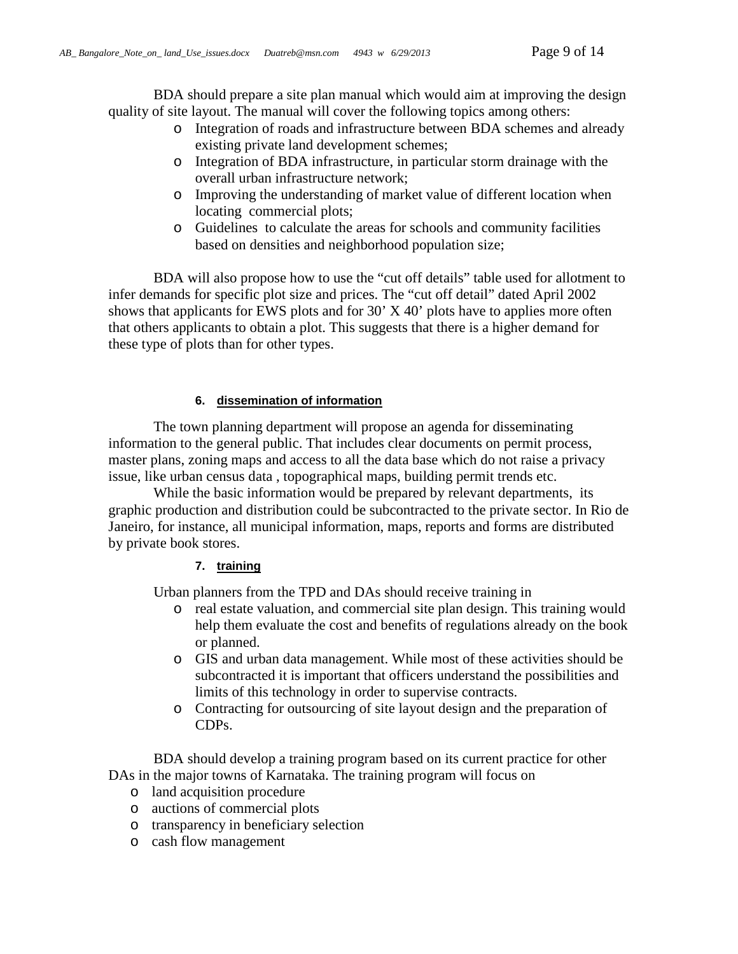BDA should prepare a site plan manual which would aim at improving the design quality of site layout. The manual will cover the following topics among others:

- o Integration of roads and infrastructure between BDA schemes and already existing private land development schemes;
- o Integration of BDA infrastructure, in particular storm drainage with the overall urban infrastructure network;
- o Improving the understanding of market value of different location when locating commercial plots;
- o Guidelines to calculate the areas for schools and community facilities based on densities and neighborhood population size;

BDA will also propose how to use the "cut off details" table used for allotment to infer demands for specific plot size and prices. The "cut off detail" dated April 2002 shows that applicants for EWS plots and for 30' X 40' plots have to applies more often that others applicants to obtain a plot. This suggests that there is a higher demand for these type of plots than for other types.

### **6. dissemination of information**

<span id="page-8-0"></span>The town planning department will propose an agenda for disseminating information to the general public. That includes clear documents on permit process, master plans, zoning maps and access to all the data base which do not raise a privacy issue, like urban census data , topographical maps, building permit trends etc.

While the basic information would be prepared by relevant departments, its graphic production and distribution could be subcontracted to the private sector. In Rio de Janeiro, for instance, all municipal information, maps, reports and forms are distributed by private book stores.

### **7. training**

<span id="page-8-1"></span>Urban planners from the TPD and DAs should receive training in

- o real estate valuation, and commercial site plan design. This training would help them evaluate the cost and benefits of regulations already on the book or planned.
- o GIS and urban data management. While most of these activities should be subcontracted it is important that officers understand the possibilities and limits of this technology in order to supervise contracts.
- o Contracting for outsourcing of site layout design and the preparation of CDPs.

BDA should develop a training program based on its current practice for other DAs in the major towns of Karnataka. The training program will focus on

- o land acquisition procedure
- o auctions of commercial plots
- o transparency in beneficiary selection
- o cash flow management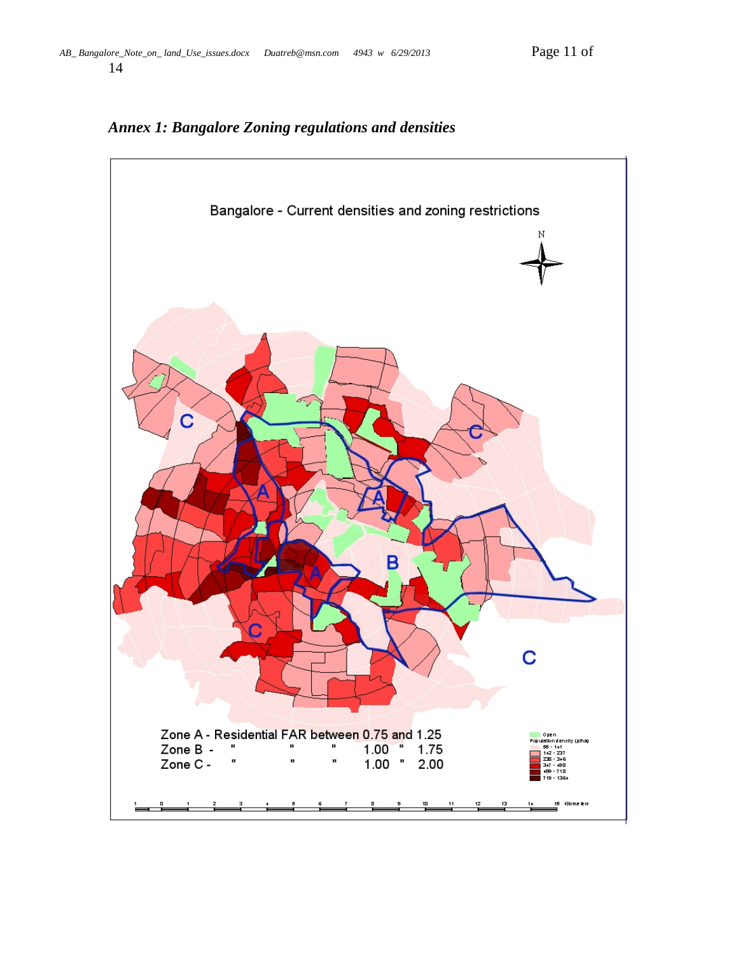<span id="page-10-0"></span>

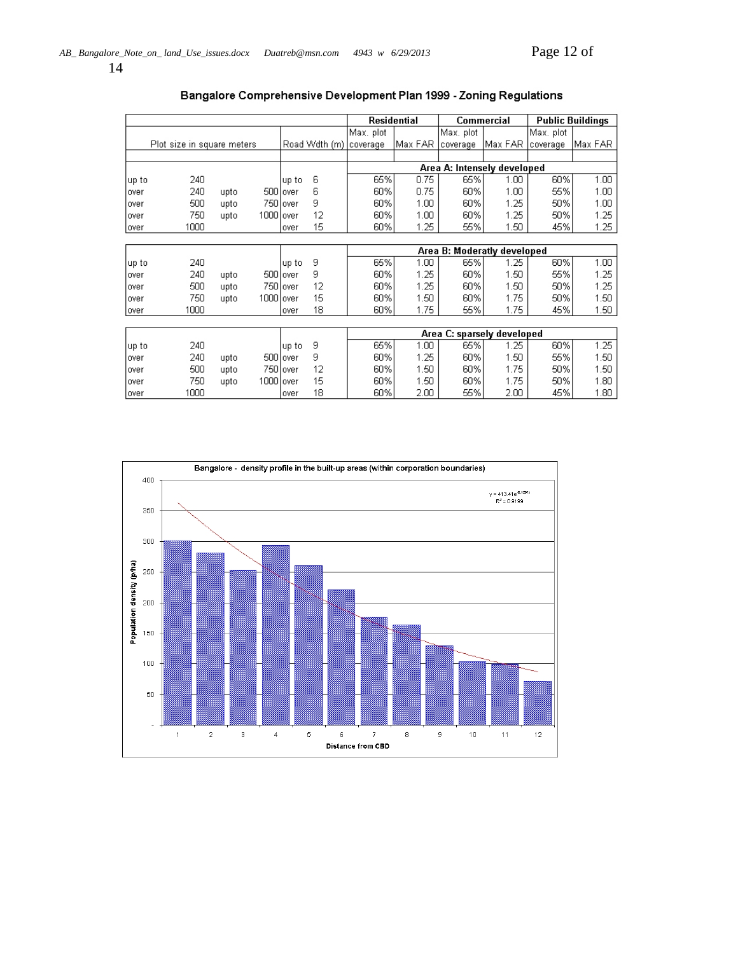14

|       |                            |      |            |           |               | Residential                 |         | <b>Commercial</b> |                   | <b>Public Buildings</b> |         |
|-------|----------------------------|------|------------|-----------|---------------|-----------------------------|---------|-------------------|-------------------|-------------------------|---------|
|       |                            |      |            |           |               | Max. plot                   |         | Max. plot         |                   | Max. plot               |         |
|       | Plot size in square meters |      |            |           | Road Wdth (m) | coverage                    | Max FAR | coverage          | Max FAR           | coverage                | Max FAR |
|       |                            |      |            |           |               |                             |         |                   |                   |                         |         |
|       |                            |      |            |           |               | Area A: Intensely developed |         |                   |                   |                         |         |
| up to | 240                        |      |            | up to     | 6             | 65%                         | 0.75    | 65%               | 1.00.             | 60%                     | 1.00    |
| over  | 240                        | upto |            | 500 over  | 6             | 60%                         | 0.75    | 60%               | 1.00              | 55%                     | 1.00    |
| over  | 500                        | upto |            | 750 lover | 9             | 60%                         | 1.00.   | 60%               | 1.25              | 50%                     | 1.00    |
| over  | 750                        | upto | 1000 lover |           | 12            | 60%                         | 1.00.   | 60%               | 1.25              | 50%                     | 1.25    |
| over  | 1000                       |      |            | over      | 15            | 60%                         | 1.25    | 55%               | 1.50 <sub>1</sub> | 45%                     | 1.25    |
|       |                            |      |            |           |               |                             |         |                   |                   |                         |         |
|       |                            |      |            |           |               | Area B: Moderatly developed |         |                   |                   |                         |         |
| up to | 240                        |      |            | up to     | 9             | 65%                         | 1.00.   | 65%               | 1.25              | 60%                     | 1.00    |
| over  | 240                        | upto |            | 500 lover | 9             | 60%                         | 1.25    | 60%               | 1.50              | 55%                     | 1.25    |
| over  | 500                        | upto |            | 750 over  | 12            | 60%                         | 1.25    | 60%               | 1.50              | 50%                     | 1.25    |
| over  | 750                        | upto | 1000 lover |           | 15            | 60%                         | 1.50    | 60%               | 1.75              | 50%                     | 1.50    |
| lover | 1000                       |      |            | lover     | 18            | 60%                         | 1.75    | 55%               | 1.75              | 45%                     | 1.50    |
|       |                            |      |            |           |               |                             |         |                   |                   |                         |         |
|       |                            |      |            |           |               | Area C: sparsely developed  |         |                   |                   |                         |         |
| up to | 240                        |      |            | up to     | 9             | 65%                         | 1.00    | 65%               | 1.25              | 60%                     | 1.25    |
| over  | 240                        | upto |            | 500 lover | 9             | 60%                         | 1.25    | 60%               | 1.50              | 55%                     | 1.50    |
| over  | 500                        | upto |            | 750 lover | 12            | 60%                         | 1.50    | 60%               | 1.75              | 50%                     | 1.50    |
| over  | 750                        | upto | 1000 over  |           | 15            | 60%                         | 1.50    | 60%               | 1.75              | 50%                     | 1.80    |
| lover | 1000                       |      |            | lover     | 18            | 60%                         | 2.00    | 55%               | 2.00              | 45%                     | 1.80    |

## Bangalore Comprehensive Development Plan 1999 - Zoning Regulations

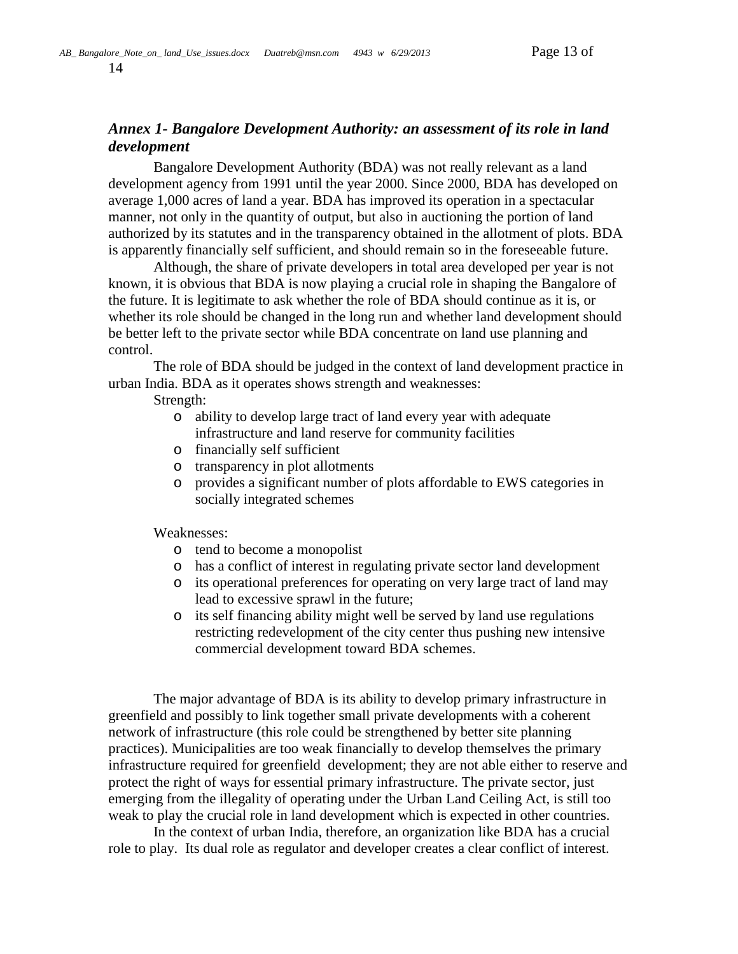14

# <span id="page-12-0"></span>*Annex 1- Bangalore Development Authority: an assessment of its role in land development*

Bangalore Development Authority (BDA) was not really relevant as a land development agency from 1991 until the year 2000. Since 2000, BDA has developed on average 1,000 acres of land a year. BDA has improved its operation in a spectacular manner, not only in the quantity of output, but also in auctioning the portion of land authorized by its statutes and in the transparency obtained in the allotment of plots. BDA is apparently financially self sufficient, and should remain so in the foreseeable future.

Although, the share of private developers in total area developed per year is not known, it is obvious that BDA is now playing a crucial role in shaping the Bangalore of the future. It is legitimate to ask whether the role of BDA should continue as it is, or whether its role should be changed in the long run and whether land development should be better left to the private sector while BDA concentrate on land use planning and control.

The role of BDA should be judged in the context of land development practice in urban India. BDA as it operates shows strength and weaknesses:

Strength:

- o ability to develop large tract of land every year with adequate infrastructure and land reserve for community facilities
- o financially self sufficient
- o transparency in plot allotments
- o provides a significant number of plots affordable to EWS categories in socially integrated schemes

Weaknesses:

- o tend to become a monopolist
- o has a conflict of interest in regulating private sector land development
- o its operational preferences for operating on very large tract of land may lead to excessive sprawl in the future;
- o its self financing ability might well be served by land use regulations restricting redevelopment of the city center thus pushing new intensive commercial development toward BDA schemes.

The major advantage of BDA is its ability to develop primary infrastructure in greenfield and possibly to link together small private developments with a coherent network of infrastructure (this role could be strengthened by better site planning practices). Municipalities are too weak financially to develop themselves the primary infrastructure required for greenfield development; they are not able either to reserve and protect the right of ways for essential primary infrastructure. The private sector, just emerging from the illegality of operating under the Urban Land Ceiling Act, is still too weak to play the crucial role in land development which is expected in other countries.

In the context of urban India, therefore, an organization like BDA has a crucial role to play. Its dual role as regulator and developer creates a clear conflict of interest.